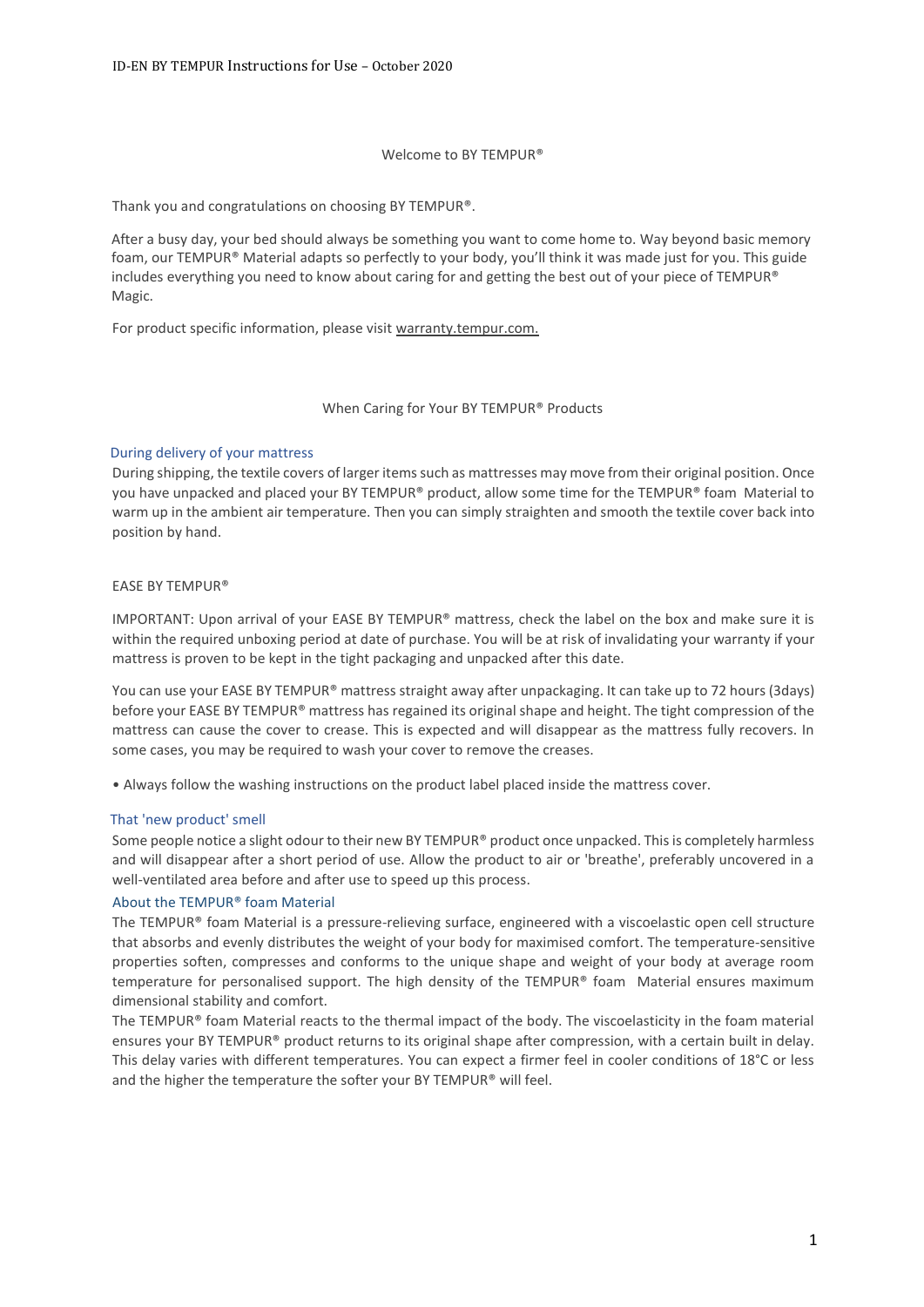#### Welcome to BY TEMPUR®

Thank you and congratulations on choosing BY TEMPUR®.

After a busy day, your bed should always be something you want to come home to. Way beyond basic memory foam, our TEMPUR® Material adapts so perfectly to your body, you'll think it was made just for you. This guide includes everything you need to know about caring for and getting the best out of your piece of TEMPUR® Magic.

For product specific information, please visit warranty.tempur.com.

#### When Caring for Your BY TEMPUR® Products

#### During delivery of your mattress

During shipping, the textile covers of larger items such as mattresses may move from their original position. Once you have unpacked and placed your BY TEMPUR® product, allow some time for the TEMPUR® foam Material to warm up in the ambient air temperature. Then you can simply straighten and smooth the textile cover back into position by hand.

#### EASE BY TEMPUR®

IMPORTANT: Upon arrival of your EASE BY TEMPUR® mattress, check the label on the box and make sure it is within the required unboxing period at date of purchase. You will be at risk of invalidating your warranty if your mattress is proven to be kept in the tight packaging and unpacked after this date.

You can use your EASE BY TEMPUR® mattress straight away after unpackaging. It can take up to 72 hours (3days) before your EASE BY TEMPUR® mattress has regained its original shape and height. The tight compression of the mattress can cause the cover to crease. This is expected and will disappear as the mattress fully recovers. In some cases, you may be required to wash your cover to remove the creases.

• Always follow the washing instructions on the product label placed inside the mattress cover.

#### That 'new product' smell

Some people notice a slight odour to their new BY TEMPUR® product once unpacked. This is completely harmless and will disappear after a short period of use. Allow the product to air or 'breathe', preferably uncovered in a well-ventilated area before and after use to speed up this process.

#### About the TEMPUR® foam Material

The TEMPUR® foam Material is a pressure-relieving surface, engineered with a viscoelastic open cell structure that absorbs and evenly distributes the weight of your body for maximised comfort. The temperature-sensitive properties soften, compresses and conforms to the unique shape and weight of your body at average room temperature for personalised support. The high density of the TEMPUR® foam Material ensures maximum dimensional stability and comfort.

The TEMPUR® foam Material reacts to the thermal impact of the body. The viscoelasticity in the foam material ensures your BY TEMPUR® product returns to its original shape after compression, with a certain built in delay. This delay varies with different temperatures. You can expect a firmer feel in cooler conditions of 18°C or less and the higher the temperature the softer your BY TEMPUR® will feel.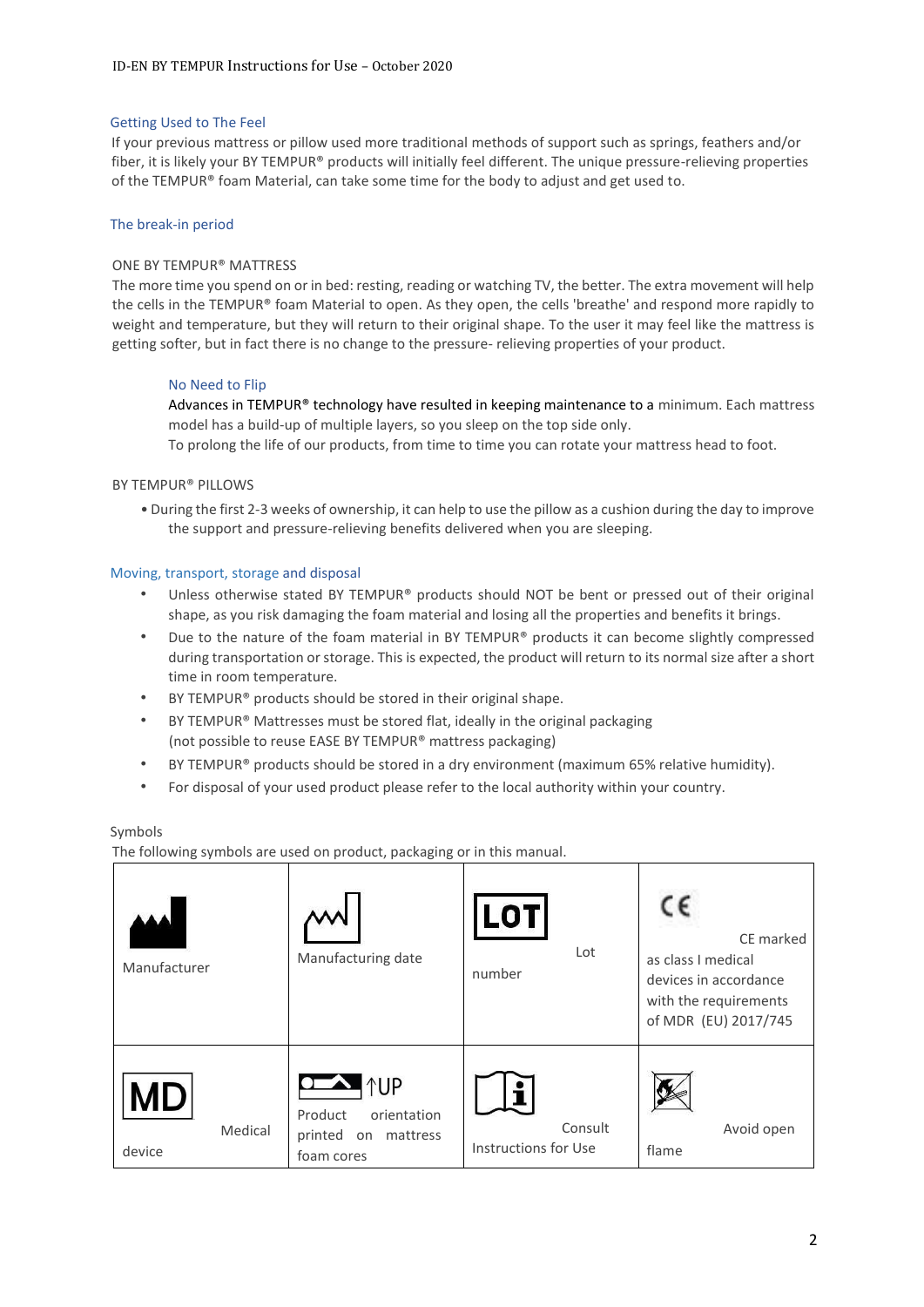## Getting Used to The Feel

If your previous mattress or pillow used more traditional methods of support such as springs, feathers and/or fiber, it is likely your BY TEMPUR® products will initially feel different. The unique pressure-relieving properties of the TEMPUR® foam Material, can take some time for the body to adjust and get used to.

## The break-in period

## ONE BY TEMPUR® MATTRESS

The more time you spend on or in bed: resting, reading or watching TV, the better. The extra movement will help the cells in the TEMPUR® foam Material to open. As they open, the cells 'breathe' and respond more rapidly to weight and temperature, but they will return to their original shape. To the user it may feel like the mattress is getting softer, but in fact there is no change to the pressure- relieving properties of your product.

## No Need to Flip

Advances in TEMPUR<sup>®</sup> technology have resulted in keeping maintenance to a minimum. Each mattress model has a build-up of multiple layers, so you sleep on the top side only.

To prolong the life of our products, from time to time you can rotate your mattress head to foot.

#### BY TEMPUR® PILLOWS

• During the first 2-3 weeks of ownership, it can help to use the pillow as a cushion during the day to improve the support and pressure-relieving benefits delivered when you are sleeping.

#### Moving, transport, storage and disposal

- Unless otherwise stated BY TEMPUR® products should NOT be bent or pressed out of their original shape, as you risk damaging the foam material and losing all the properties and benefits it brings.
- Due to the nature of the foam material in BY TEMPUR® products it can become slightly compressed during transportation or storage. This is expected, the product will return to its normal size after a short time in room temperature.
- BY TEMPUR® products should be stored in their original shape.
- BY TEMPUR® Mattresses must be stored flat, ideally in the original packaging (not possible to reuse EASE BY TEMPUR® mattress packaging)
- BY TEMPUR® products should be stored in a dry environment (maximum 65% relative humidity).
- For disposal of your used product please refer to the local authority within your country.

#### Symbols

The following symbols are used on product, packaging or in this manual.

| Manufacturer                   | Manufacturing date                                                                                  | LOTI<br>Lot<br>number           | CE marked<br>as class I medical<br>devices in accordance<br>with the requirements<br>of MDR (EU) 2017/745 |
|--------------------------------|-----------------------------------------------------------------------------------------------------|---------------------------------|-----------------------------------------------------------------------------------------------------------|
| <b>MD</b><br>Medical<br>device | $\bullet$ $\bullet$ $\uparrow$ UP<br>orientation<br>Product<br>printed on<br>mattress<br>foam cores | Consult<br>Instructions for Use | Avoid open<br>flame                                                                                       |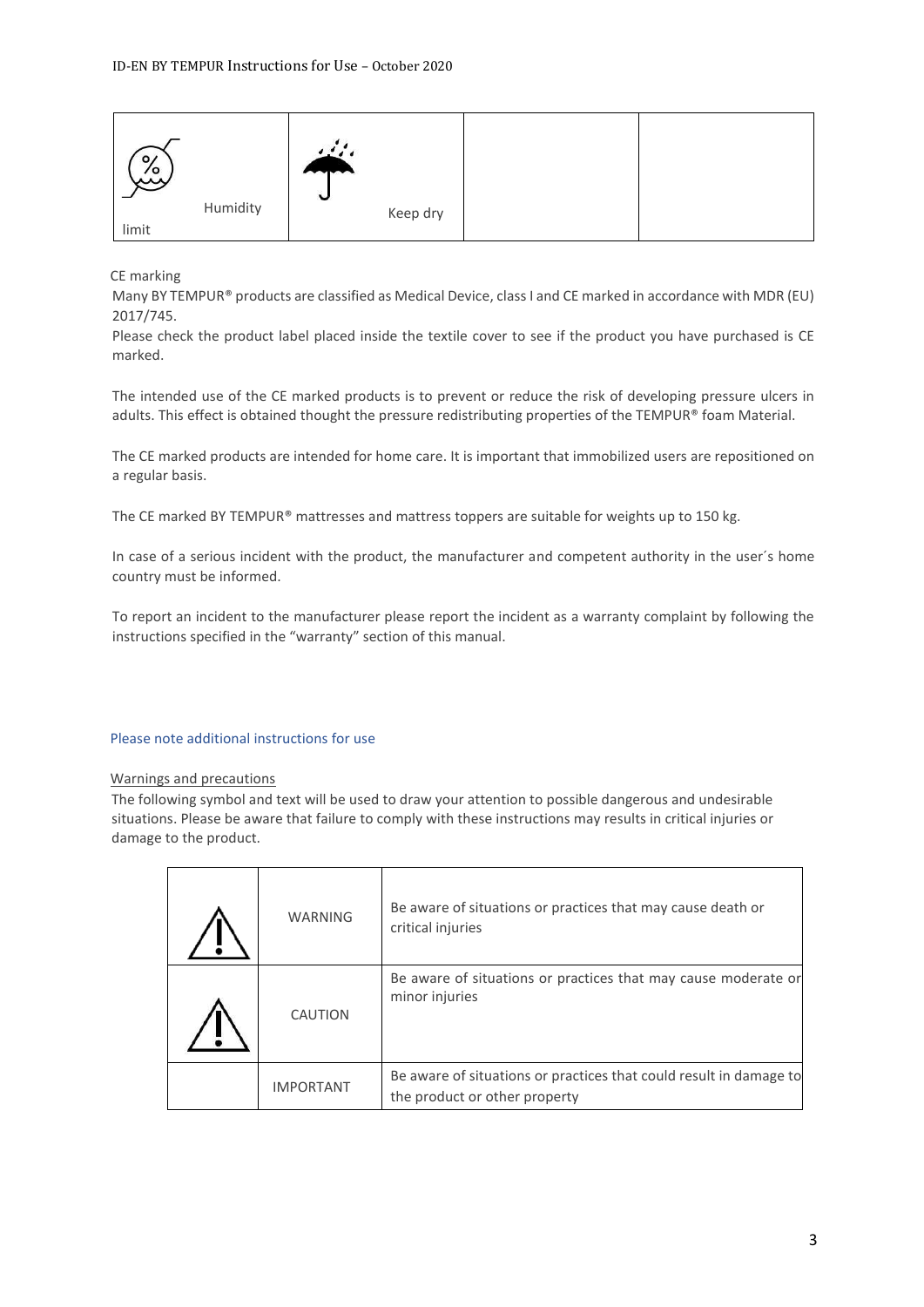| $\circ$<br>ەر<br>ئىبر |          | N |          |  |
|-----------------------|----------|---|----------|--|
|                       | Humidity |   | Keep dry |  |
| limit                 |          |   |          |  |

CE marking

Many BY TEMPUR® products are classified as Medical Device, class I and CE marked in accordance with MDR (EU) 2017/745.

Please check the product label placed inside the textile cover to see if the product you have purchased is CE marked.

The intended use of the CE marked products is to prevent or reduce the risk of developing pressure ulcers in adults. This effect is obtained thought the pressure redistributing properties of the TEMPUR® foam Material.

The CE marked products are intended for home care. It is important that immobilized users are repositioned on a regular basis.

The CE marked BY TEMPUR® mattresses and mattress toppers are suitable for weights up to 150 kg.

In case of a serious incident with the product, the manufacturer and competent authority in the user´s home country must be informed.

To report an incident to the manufacturer please report the incident as a warranty complaint by following the instructions specified in the "warranty" section of this manual.

## Please note additional instructions for use

#### Warnings and precautions

The following symbol and text will be used to draw your attention to possible dangerous and undesirable situations. Please be aware that failure to comply with these instructions may results in critical injuries or damage to the product.

| <b>WARNING</b>   | Be aware of situations or practices that may cause death or<br>critical injuries                    |
|------------------|-----------------------------------------------------------------------------------------------------|
| CAUTION          | Be aware of situations or practices that may cause moderate or<br>minor injuries                    |
| <b>IMPORTANT</b> | Be aware of situations or practices that could result in damage to<br>the product or other property |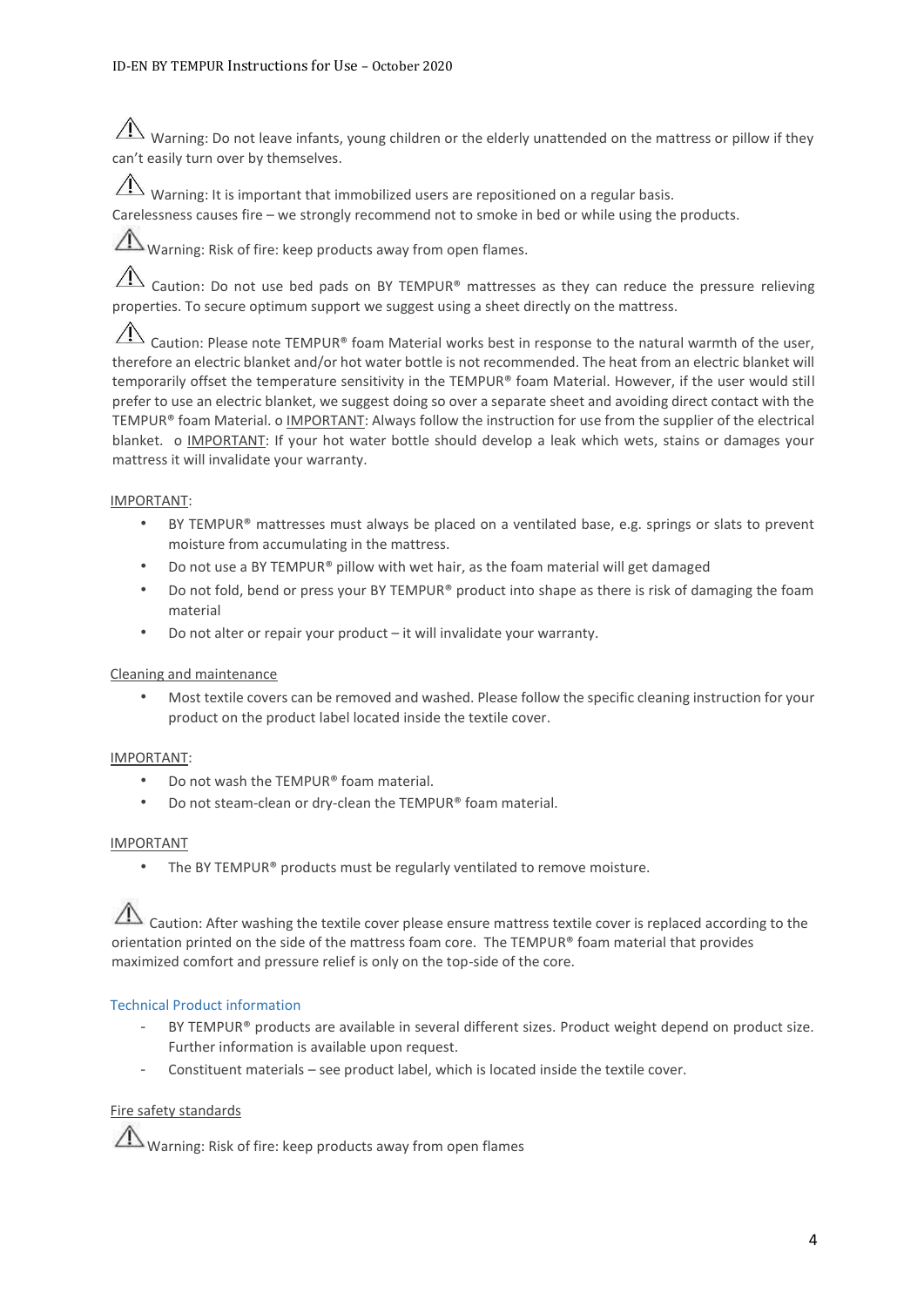$\hat{A}$  Warning: Do not leave infants, young children or the elderly unattended on the mattress or pillow if they can't easily turn over by themselves.

 $\sqrt{!}$  Warning: It is important that immobilized users are repositioned on a regular basis.

Carelessness causes fire – we strongly recommend not to smoke in bed or while using the products.

Warning: Risk of fire: keep products away from open flames.

 $\hat{A}$  Caution: Do not use bed pads on BY TEMPUR® mattresses as they can reduce the pressure relieving properties. To secure optimum support we suggest using a sheet directly on the mattress.

Caution: Please note TEMPUR® foam Material works best in response to the natural warmth of the user, therefore an electric blanket and/or hot water bottle is not recommended. The heat from an electric blanket will temporarily offset the temperature sensitivity in the TEMPUR® foam Material. However, if the user would still prefer to use an electric blanket, we suggest doing so over a separate sheet and avoiding direct contact with the TEMPUR® foam Material. o IMPORTANT: Always follow the instruction for use from the supplier of the electrical blanket. o IMPORTANT: If your hot water bottle should develop a leak which wets, stains or damages your mattress it will invalidate your warranty.

# IMPORTANT:

- BY TEMPUR® mattresses must always be placed on a ventilated base, e.g. springs or slats to prevent moisture from accumulating in the mattress.
- Do not use a BY TEMPUR® pillow with wet hair, as the foam material will get damaged
- Do not fold, bend or press your BY TEMPUR® product into shape as there is risk of damaging the foam material
- Do not alter or repair your product it will invalidate your warranty.

# Cleaning and maintenance

• Most textile covers can be removed and washed. Please follow the specific cleaning instruction for your product on the product label located inside the textile cover.

# IMPORTANT:

- Do not wash the TEMPUR® foam material.
- Do not steam-clean or dry-clean the TEMPUR® foam material.

### IMPORTANT

The BY TEMPUR® products must be regularly ventilated to remove moisture.

Caution: After washing the textile cover please ensure mattress textile cover is replaced according to the orientation printed on the side of the mattress foam core. The TEMPUR® foam material that provides maximized comfort and pressure relief is only on the top-side of the core.

# Technical Product information

- BY TEMPUR® products are available in several different sizes. Product weight depend on product size. Further information is available upon request.
- Constituent materials see product label, which is located inside the textile cover.

# Fire safety standards

Warning: Risk of fire: keep products away from open flames